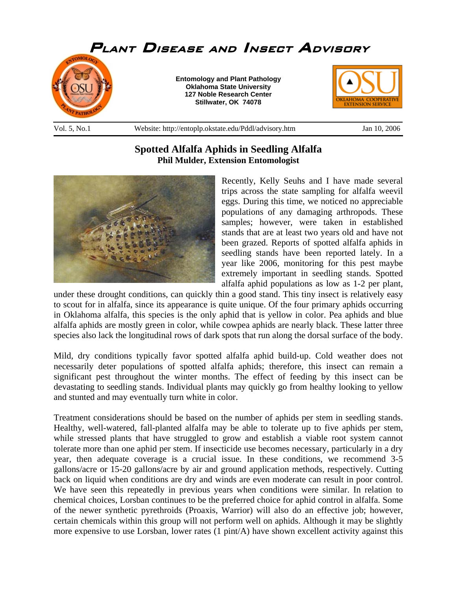

**Phil Mulder, Extension Entomologist** 

**Spotted Alfalfa Aphids in Seedling Alfalfa** 



Recently, Kelly Seuhs and I have made several trips across the state sampling for alfalfa weevil eggs. During this time, we noticed no appreciable populations of any damaging arthropods. These samples; however, were taken in established stands that are at least two years old and have not been grazed. Reports of spotted alfalfa aphids in seedling stands have been reported lately. In a year like 2006, monitoring for this pest maybe extremely important in seedling stands. Spotted alfalfa aphid populations as low as 1-2 per plant,

under these drought conditions, can quickly thin a good stand. This tiny insect is relatively easy to scout for in alfalfa, since its appearance is quite unique. Of the four primary aphids occurring in Oklahoma alfalfa, this species is the only aphid that is yellow in color. Pea aphids and blue alfalfa aphids are mostly green in color, while cowpea aphids are nearly black. These latter three species also lack the longitudinal rows of dark spots that run along the dorsal surface of the body.

Mild, dry conditions typically favor spotted alfalfa aphid build-up. Cold weather does not necessarily deter populations of spotted alfalfa aphids; therefore, this insect can remain a significant pest throughout the winter months. The effect of feeding by this insect can be devastating to seedling stands. Individual plants may quickly go from healthy looking to yellow and stunted and may eventually turn white in color.

Treatment considerations should be based on the number of aphids per stem in seedling stands. Healthy, well-watered, fall-planted alfalfa may be able to tolerate up to five aphids per stem, while stressed plants that have struggled to grow and establish a viable root system cannot tolerate more than one aphid per stem. If insecticide use becomes necessary, particularly in a dry year, then adequate coverage is a crucial issue. In these conditions, we recommend 3-5 gallons/acre or 15-20 gallons/acre by air and ground application methods, respectively. Cutting back on liquid when conditions are dry and winds are even moderate can result in poor control. We have seen this repeatedly in previous years when conditions were similar. In relation to chemical choices, Lorsban continues to be the preferred choice for aphid control in alfalfa. Some of the newer synthetic pyrethroids (Proaxis, Warrior) will also do an effective job; however, certain chemicals within this group will not perform well on aphids. Although it may be slightly more expensive to use Lorsban, lower rates (1 pint/A) have shown excellent activity against this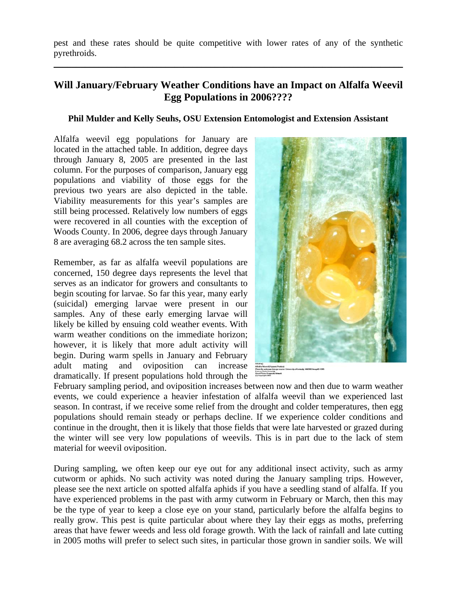pest and these rates should be quite competitive with lower rates of any of the synthetic pyrethroids.

\_\_\_\_\_\_\_\_\_\_\_\_\_\_\_\_\_\_\_\_\_\_\_\_\_\_\_\_\_\_\_\_\_\_\_\_\_\_\_\_\_\_\_\_\_\_\_\_\_\_\_\_\_\_\_\_\_\_\_\_\_\_\_\_\_\_\_\_\_\_\_\_\_\_\_\_\_\_

## **Will January/February Weather Conditions have an Impact on Alfalfa Weevil Egg Populations in 2006????**

## **Phil Mulder and Kelly Seuhs, OSU Extension Entomologist and Extension Assistant**

Alfalfa weevil egg populations for January are located in the attached table. In addition, degree days through January 8, 2005 are presented in the last column. For the purposes of comparison, January egg populations and viability of those eggs for the previous two years are also depicted in the table. Viability measurements for this year's samples are still being processed. Relatively low numbers of eggs were recovered in all counties with the exception of Woods County. In 2006, degree days through January 8 are averaging 68.2 across the ten sample sites.

Remember, as far as alfalfa weevil populations are concerned, 150 degree days represents the level that serves as an indicator for growers and consultants to begin scouting for larvae. So far this year, many early (suicidal) emerging larvae were present in our samples. Any of these early emerging larvae will likely be killed by ensuing cold weather events. With warm weather conditions on the immediate horizon; however, it is likely that more adult activity will begin. During warm spells in January and February adult mating and oviposition can increase dramatically. If present populations hold through the



February sampling period, and oviposition increases between now and then due to warm weather events, we could experience a heavier infestation of alfalfa weevil than we experienced last season. In contrast, if we receive some relief from the drought and colder temperatures, then egg populations should remain steady or perhaps decline. If we experience colder conditions and continue in the drought, then it is likely that those fields that were late harvested or grazed during the winter will see very low populations of weevils. This is in part due to the lack of stem material for weevil oviposition.

During sampling, we often keep our eye out for any additional insect activity, such as army cutworm or aphids. No such activity was noted during the January sampling trips. However, please see the next article on spotted alfalfa aphids if you have a seedling stand of alfalfa. If you have experienced problems in the past with army cutworm in February or March, then this may be the type of year to keep a close eye on your stand, particularly before the alfalfa begins to really grow. This pest is quite particular about where they lay their eggs as moths, preferring areas that have fewer weeds and less old forage growth. With the lack of rainfall and late cutting in 2005 moths will prefer to select such sites, in particular those grown in sandier soils. We will